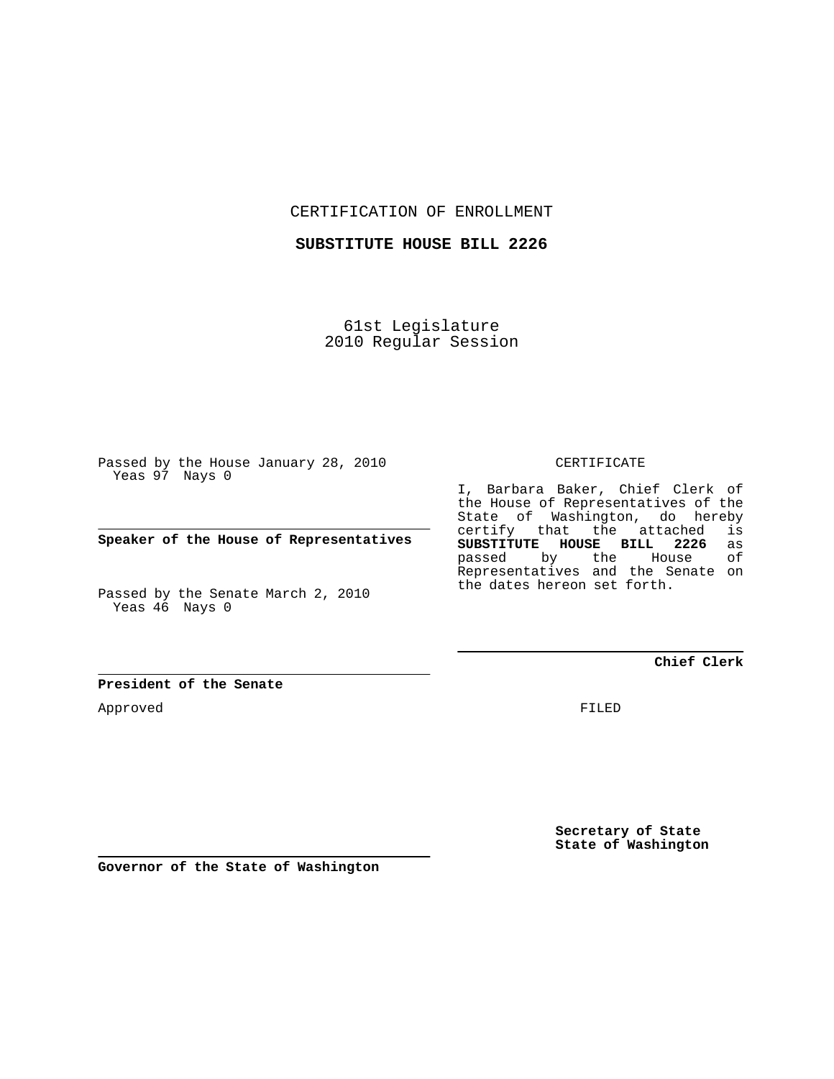CERTIFICATION OF ENROLLMENT

**SUBSTITUTE HOUSE BILL 2226**

61st Legislature 2010 Regular Session

Passed by the House January 28, 2010 Yeas 97 Nays 0

**Speaker of the House of Representatives**

Passed by the Senate March 2, 2010 Yeas 46 Nays 0

**President of the Senate**

Approved

CERTIFICATE

I, Barbara Baker, Chief Clerk of the House of Representatives of the State of Washington, do hereby certify that the attached is<br>SUBSTITUTE HOUSE BILL 2226 as **SUBSTITUTE HOUSE BILL 2226** as passed by the Representatives and the Senate on the dates hereon set forth.

**Chief Clerk**

FILED

**Secretary of State State of Washington**

**Governor of the State of Washington**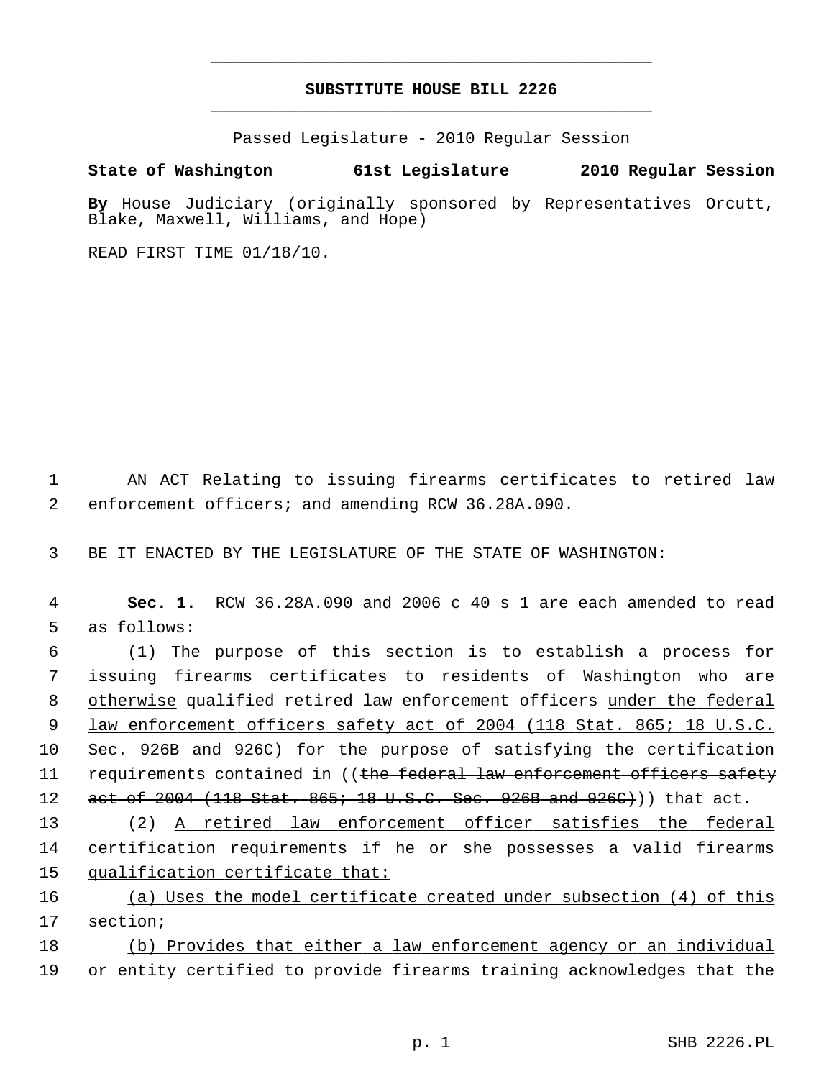## **SUBSTITUTE HOUSE BILL 2226** \_\_\_\_\_\_\_\_\_\_\_\_\_\_\_\_\_\_\_\_\_\_\_\_\_\_\_\_\_\_\_\_\_\_\_\_\_\_\_\_\_\_\_\_\_

\_\_\_\_\_\_\_\_\_\_\_\_\_\_\_\_\_\_\_\_\_\_\_\_\_\_\_\_\_\_\_\_\_\_\_\_\_\_\_\_\_\_\_\_\_

Passed Legislature - 2010 Regular Session

## **State of Washington 61st Legislature 2010 Regular Session**

**By** House Judiciary (originally sponsored by Representatives Orcutt, Blake, Maxwell, Williams, and Hope)

READ FIRST TIME 01/18/10.

 1 AN ACT Relating to issuing firearms certificates to retired law 2 enforcement officers; and amending RCW 36.28A.090.

3 BE IT ENACTED BY THE LEGISLATURE OF THE STATE OF WASHINGTON:

 4 **Sec. 1.** RCW 36.28A.090 and 2006 c 40 s 1 are each amended to read 5 as follows:

 6 (1) The purpose of this section is to establish a process for 7 issuing firearms certificates to residents of Washington who are 8 otherwise qualified retired law enforcement officers under the federal 9 law enforcement officers safety act of 2004 (118 Stat. 865; 18 U.S.C. 10 Sec. 926B and 926C) for the purpose of satisfying the certification 11 requirements contained in ((the federal law enforcement officers safety 12 act of 2004 (118 Stat. 865; 18 U.S.C. Sec. 926B and 926C))) that act.

13 (2) A retired law enforcement officer satisfies the federal 14 certification requirements if he or she possesses a valid firearms 15 qualification certificate that:

16 (a) Uses the model certificate created under subsection (4) of this 17 section;

18 (b) Provides that either a law enforcement agency or an individual 19 or entity certified to provide firearms training acknowledges that the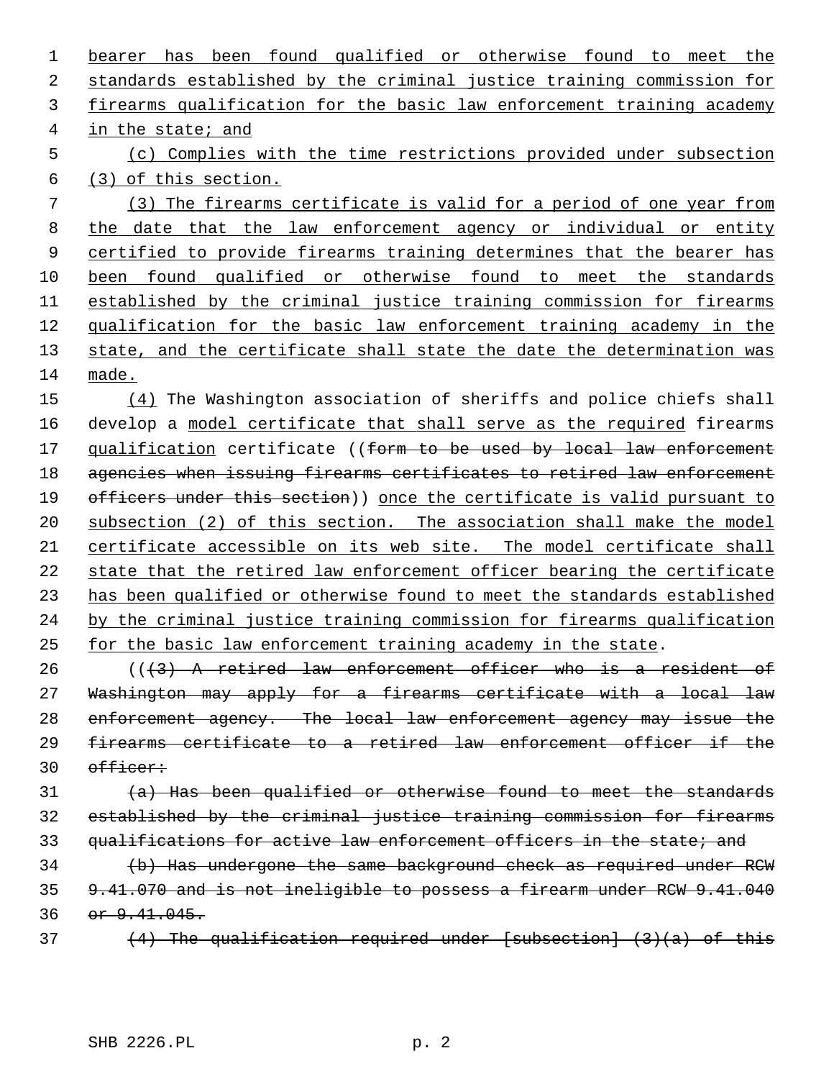bearer has been found qualified or otherwise found to meet the standards established by the criminal justice training commission for firearms qualification for the basic law enforcement training academy in the state; and (c) Complies with the time restrictions provided under subsection (3) of this section. (3) The firearms certificate is valid for a period of one year from the date that the law enforcement agency or individual or entity certified to provide firearms training determines that the bearer has been found qualified or otherwise found to meet the standards 11 established by the criminal justice training commission for firearms qualification for the basic law enforcement training academy in the state, and the certificate shall state the date the determination was made. (4) The Washington association of sheriffs and police chiefs shall

16 develop a model certificate that shall serve as the required firearms 17 qualification certificate ((form to be used by local law enforcement agencies when issuing firearms certificates to retired law enforcement 19 officers under this section)) once the certificate is valid pursuant to subsection (2) of this section. The association shall make the model certificate accessible on its web site. The model certificate shall state that the retired law enforcement officer bearing the certificate has been qualified or otherwise found to meet the standards established by the criminal justice training commission for firearms qualification for the basic law enforcement training academy in the state.

 (( $\left(43\right)$ ) A retired law enforcement officer who is a resident of Washington may apply for a firearms certificate with a local law enforcement agency. The local law enforcement agency may issue the firearms certificate to a retired law enforcement officer if the officer:

 $(a)$  Has been qualified or otherwise found to meet the standards established by the criminal justice training commission for firearms 33 qualifications for active law enforcement officers in the state; and

34 (b) Has undergone the same background check as required under RCW 9.41.070 and is not ineligible to possess a firearm under RCW 9.41.040 or  $9.41.045$ .

 $(4)$  The qualification required under [subsection]  $(3)(a)$  of this